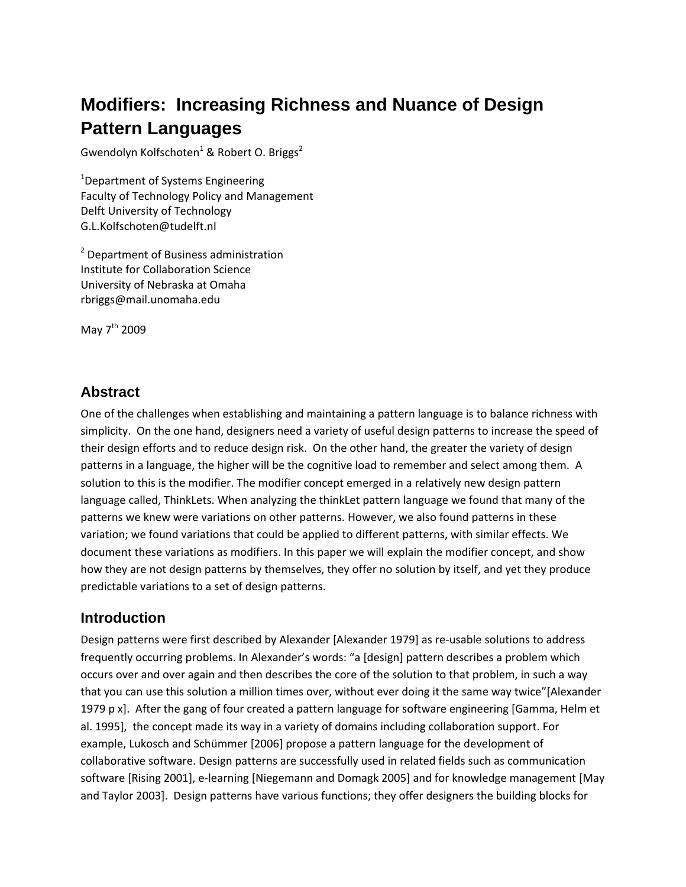# **Modifiers: Increasing Richness and Nuance of Design Pattern Languages**

Gwendolyn Kolfschoten<sup>1</sup> & Robert O. Briggs<sup>2</sup>

<sup>1</sup>Department of Systems Engineering Faculty of Technology Policy and Management Delft University of Technology G.L.Kolfschoten@tudelft.nl

<sup>2</sup> Department of Business administration Institute for Collaboration Science University of Nebraska at Omaha rbriggs@mail.unomaha.edu

May 7<sup>th</sup> 2009

# **Abstract**

One of the challenges when establishing and maintaining a pattern language is to balance richness with simplicity. On the one hand, designers need a variety of useful design patterns to increase the speed of their design efforts and to reduce design risk. On the other hand, the greater the variety of design patterns in a language, the higher will be the cognitive load to remember and select among them. A solution to this is the modifier. The modifier concept emerged in a relatively new design pattern language called, ThinkLets. When analyzing the thinkLet pattern language we found that many of the patterns we knew were variations on other patterns. However, we also found patterns in these variation; we found variations that could be applied to different patterns, with similar effects. We document these variations as modifiers. In this paper we will explain the modifier concept, and show how they are not design patterns by themselves, they offer no solution by itself, and yet they produce predictable variations to a set of design patterns.

### **Introduction**

Design patterns were first described by Alexander [Alexander 1979] as re‐usable solutions to address frequently occurring problems. In Alexander's words: "a [design] pattern describes a problem which occurs over and over again and then describes the core of the solution to that problem, in such a way that you can use this solution a million times over, without ever doing it the same way twice"[Alexander 1979 p x]. After the gang of four created a pattern language for software engineering [Gamma, Helm et al. 1995], the concept made its way in a variety of domains including collaboration support. For example, Lukosch and Schümmer [2006] propose a pattern language for the development of collaborative software. Design patterns are successfully used in related fields such as communication software [Rising 2001], e‐learning [Niegemann and Domagk 2005] and for knowledge management [May and Taylor 2003]. Design patterns have various functions; they offer designers the building blocks for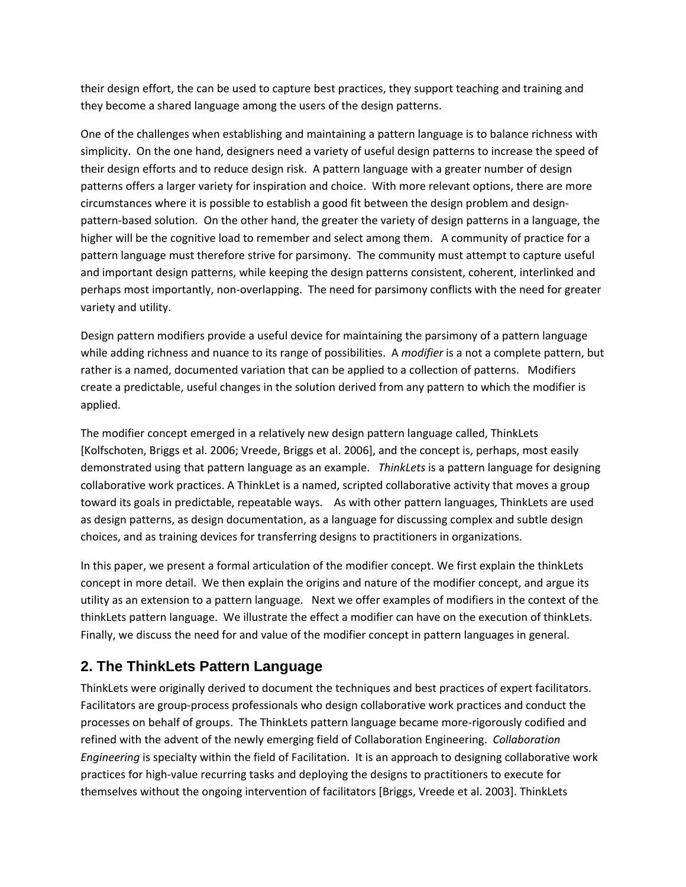their design effort, the can be used to capture best practices, they support teaching and training and they become a shared language among the users of the design patterns.

One of the challenges when establishing and maintaining a pattern language is to balance richness with simplicity. On the one hand, designers need a variety of useful design patterns to increase the speed of their design efforts and to reduce design risk. A pattern language with a greater number of design patterns offers a larger variety for inspiration and choice. With more relevant options, there are more circumstances where it is possible to establish a good fit between the design problem and design‐ pattern‐based solution. On the other hand, the greater the variety of design patterns in a language, the higher will be the cognitive load to remember and select among them. A community of practice for a pattern language must therefore strive for parsimony. The community must attempt to capture useful and important design patterns, while keeping the design patterns consistent, coherent, interlinked and perhaps most importantly, non‐overlapping. The need for parsimony conflicts with the need for greater variety and utility.

Design pattern modifiers provide a useful device for maintaining the parsimony of a pattern language while adding richness and nuance to its range of possibilities. A *modifier* is a not a complete pattern, but rather is a named, documented variation that can be applied to a collection of patterns. Modifiers create a predictable, useful changes in the solution derived from any pattern to which the modifier is applied.

The modifier concept emerged in a relatively new design pattern language called, ThinkLets [Kolfschoten, Briggs et al. 2006; Vreede, Briggs et al. 2006], and the concept is, perhaps, most easily demonstrated using that pattern language as an example. *ThinkLets* is a pattern language for designing collaborative work practices. A ThinkLet is a named, scripted collaborative activity that moves a group toward its goals in predictable, repeatable ways. As with other pattern languages, ThinkLets are used as design patterns, as design documentation, as a language for discussing complex and subtle design choices, and as training devices for transferring designs to practitioners in organizations.

In this paper, we present a formal articulation of the modifier concept. We first explain the thinkLets concept in more detail. We then explain the origins and nature of the modifier concept, and argue its utility as an extension to a pattern language. Next we offer examples of modifiers in the context of the thinkLets pattern language. We illustrate the effect a modifier can have on the execution of thinkLets. Finally, we discuss the need for and value of the modifier concept in pattern languages in general.

# **2. The ThinkLets Pattern Language**

ThinkLets were originally derived to document the techniques and best practices of expert facilitators. Facilitators are group‐process professionals who design collaborative work practices and conduct the processes on behalf of groups. The ThinkLets pattern language became more‐rigorously codified and refined with the advent of the newly emerging field of Collaboration Engineering. *Collaboration Engineering* is specialty within the field of Facilitation. It is an approach to designing collaborative work practices for high‐value recurring tasks and deploying the designs to practitioners to execute for themselves without the ongoing intervention of facilitators [Briggs, Vreede et al. 2003]. ThinkLets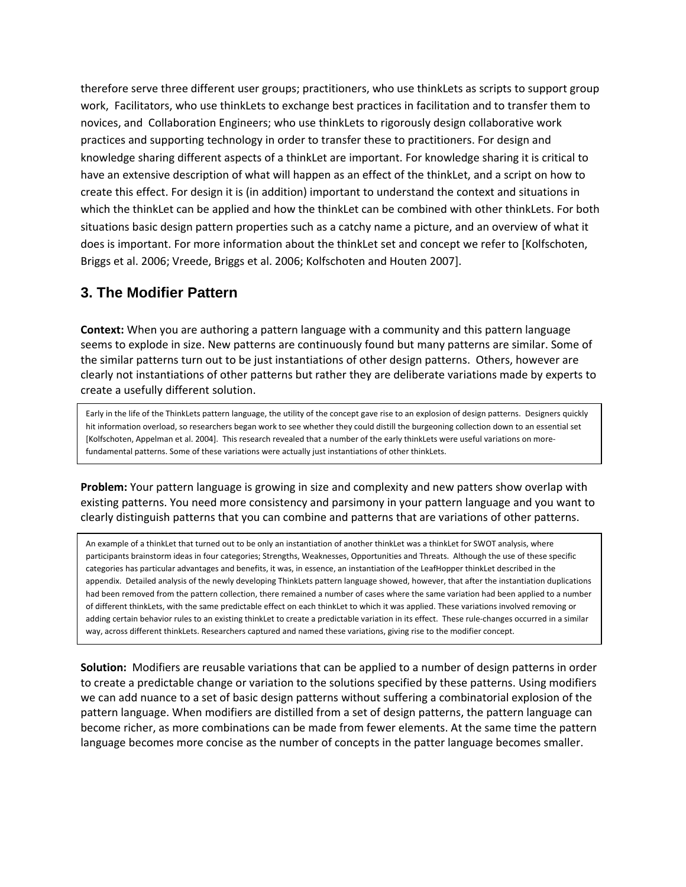therefore serve three different user groups; practitioners, who use thinkLets as scripts to support group work, Facilitators, who use thinkLets to exchange best practices in facilitation and to transfer them to novices, and Collaboration Engineers; who use thinkLets to rigorously design collaborative work practices and supporting technology in order to transfer these to practitioners. For design and knowledge sharing different aspects of a thinkLet are important. For knowledge sharing it is critical to have an extensive description of what will happen as an effect of the thinkLet, and a script on how to create this effect. For design it is (in addition) important to understand the context and situations in which the thinkLet can be applied and how the thinkLet can be combined with other thinkLets. For both situations basic design pattern properties such as a catchy name a picture, and an overview of what it does is important. For more information about the thinkLet set and concept we refer to [Kolfschoten, Briggs et al. 2006; Vreede, Briggs et al. 2006; Kolfschoten and Houten 2007].

### **3. The Modifier Pattern**

**Context:** When you are authoring a pattern language with a community and this pattern language seems to explode in size. New patterns are continuously found but many patterns are similar. Some of the similar patterns turn out to be just instantiations of other design patterns. Others, however are clearly not instantiations of other patterns but rather they are deliberate variations made by experts to create a usefully different solution.

Early in the life of the ThinkLets pattern language, the utility of the concept gave rise to an explosion of design patterns. Designers quickly hit information overload, so researchers began work to see whether they could distill the burgeoning collection down to an essential set [Kolfschoten, Appelman et al. 2004]. This research revealed that a number of the early thinkLets were useful variations on more‐ fundamental patterns. Some of these variations were actually just instantiations of other thinkLets.

**Problem:** Your pattern language is growing in size and complexity and new patters show overlap with existing patterns. You need more consistency and parsimony in your pattern language and you want to clearly distinguish patterns that you can combine and patterns that are variations of other patterns.

An example of a thinkLet that turned out to be only an instantiation of another thinkLet was a thinkLet for SWOT analysis, where participants brainstorm ideas in four categories; Strengths, Weaknesses, Opportunities and Threats. Although the use of these specific categories has particular advantages and benefits, it was, in essence, an instantiation of the LeafHopper thinkLet described in the appendix. Detailed analysis of the newly developing ThinkLets pattern language showed, however, that after the instantiation duplications had been removed from the pattern collection, there remained a number of cases where the same variation had been applied to a number of different thinkLets, with the same predictable effect on each thinkLet to which it was applied. These variations involved removing or adding certain behavior rules to an existing thinkLet to create a predictable variation in its effect. These rule‐changes occurred in a similar way, across different thinkLets. Researchers captured and named these variations, giving rise to the modifier concept.

**Solution:** Modifiers are reusable variations that can be applied to a number of design patterns in order to create a predictable change or variation to the solutions specified by these patterns. Using modifiers we can add nuance to a set of basic design patterns without suffering a combinatorial explosion of the pattern language. When modifiers are distilled from a set of design patterns, the pattern language can become richer, as more combinations can be made from fewer elements. At the same time the pattern language becomes more concise as the number of concepts in the patter language becomes smaller.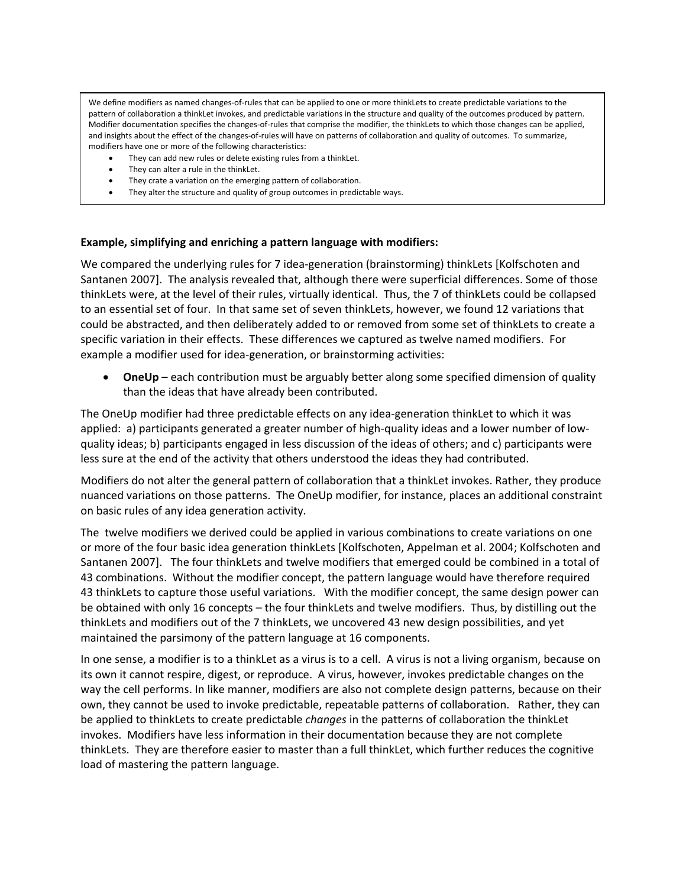We define modifiers as named changes‐of‐rules that can be applied to one or more thinkLets to create predictable variations to the pattern of collaboration a thinkLet invokes, and predictable variations in the structure and quality of the outcomes produced by pattern. Modifier documentation specifies the changes-of-rules that comprise the modifier, the thinkLets to which those changes can be applied, and insights about the effect of the changes-of-rules will have on patterns of collaboration and quality of outcomes. To summarize, modifiers have one or more of the following characteristics:

- They can add new rules or delete existing rules from a thinkLet.
- They can alter a rule in the thinkLet.
- They crate a variation on the emerging pattern of collaboration.
- They alter the structure and quality of group outcomes in predictable ways.

#### **Example, simplifying and enriching a pattern language with modifiers:**

We compared the underlying rules for 7 idea-generation (brainstorming) thinkLets [Kolfschoten and Santanen 2007]. The analysis revealed that, although there were superficial differences. Some of those thinkLets were, at the level of their rules, virtually identical. Thus, the 7 of thinkLets could be collapsed to an essential set of four. In that same set of seven thinkLets, however, we found 12 variations that could be abstracted, and then deliberately added to or removed from some set of thinkLets to create a specific variation in their effects. These differences we captured as twelve named modifiers. For example a modifier used for idea‐generation, or brainstorming activities:

• **OneUp** – each contribution must be arguably better along some specified dimension of quality than the ideas that have already been contributed.

The OneUp modifier had three predictable effects on any idea‐generation thinkLet to which it was applied: a) participants generated a greater number of high-quality ideas and a lower number of lowquality ideas; b) participants engaged in less discussion of the ideas of others; and c) participants were less sure at the end of the activity that others understood the ideas they had contributed. 

Modifiers do not alter the general pattern of collaboration that a thinkLet invokes. Rather, they produce nuanced variations on those patterns. The OneUp modifier, for instance, places an additional constraint on basic rules of any idea generation activity.

The twelve modifiers we derived could be applied in various combinations to create variations on one or more of the four basic idea generation thinkLets [Kolfschoten, Appelman et al. 2004; Kolfschoten and Santanen 2007]. The four thinkLets and twelve modifiers that emerged could be combined in a total of 43 combinations. Without the modifier concept, the pattern language would have therefore required 43 thinkLets to capture those useful variations. With the modifier concept, the same design power can be obtained with only 16 concepts – the four thinkLets and twelve modifiers. Thus, by distilling out the thinkLets and modifiers out of the 7 thinkLets, we uncovered 43 new design possibilities, and yet maintained the parsimony of the pattern language at 16 components.

In one sense, a modifier is to a thinkLet as a virus is to a cell. A virus is not a living organism, because on its own it cannot respire, digest, or reproduce. A virus, however, invokes predictable changes on the way the cell performs. In like manner, modifiers are also not complete design patterns, because on their own, they cannot be used to invoke predictable, repeatable patterns of collaboration. Rather, they can be applied to thinkLets to create predictable *changes* in the patterns of collaboration the thinkLet invokes. Modifiers have less information in their documentation because they are not complete thinkLets. They are therefore easier to master than a full thinkLet, which further reduces the cognitive load of mastering the pattern language.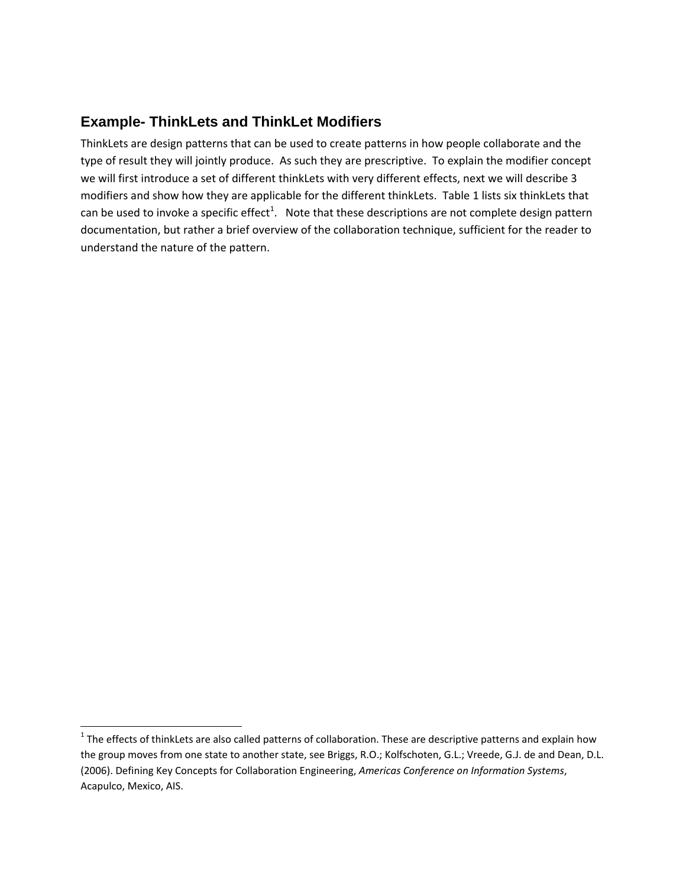# **Example- ThinkLets and ThinkLet Modifiers**

ThinkLets are design patterns that can be used to create patterns in how people collaborate and the type of result they will jointly produce. As such they are prescriptive. To explain the modifier concept we will first introduce a set of different thinkLets with very different effects, next we will describe 3 modifiers and show how they are applicable for the different thinkLets. Table 1 lists six thinkLets that can be used to invoke a specific effect<sup>1</sup>. Note that these descriptions are not complete design pattern documentation, but rather a brief overview of the collaboration technique, sufficient for the reader to understand the nature of the pattern.

 $1$  The effects of thinkLets are also called patterns of collaboration. These are descriptive patterns and explain how the group moves from one state to another state, see Briggs, R.O.; Kolfschoten, G.L.; Vreede, G.J. de and Dean, D.L. (2006). Defining Key Concepts for Collaboration Engineering, *Americas Conference on Information Systems*, Acapulco, Mexico, AIS.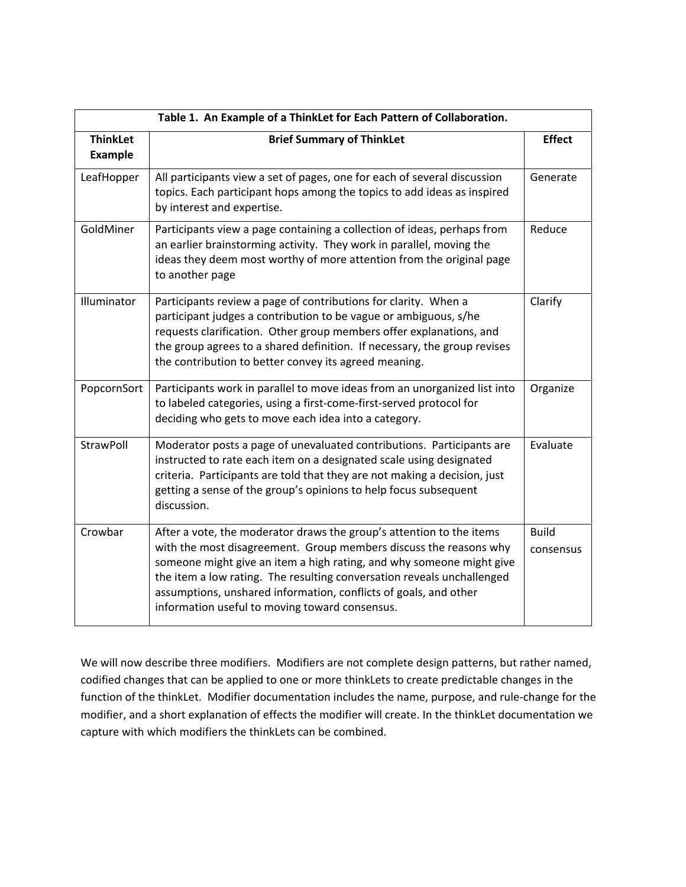| Table 1. An Example of a ThinkLet for Each Pattern of Collaboration. |                                                                                                                                                                                                                                                                                                                                                                                                                   |                           |  |  |
|----------------------------------------------------------------------|-------------------------------------------------------------------------------------------------------------------------------------------------------------------------------------------------------------------------------------------------------------------------------------------------------------------------------------------------------------------------------------------------------------------|---------------------------|--|--|
| <b>ThinkLet</b><br><b>Example</b>                                    | <b>Brief Summary of ThinkLet</b>                                                                                                                                                                                                                                                                                                                                                                                  | <b>Effect</b>             |  |  |
| LeafHopper                                                           | All participants view a set of pages, one for each of several discussion<br>topics. Each participant hops among the topics to add ideas as inspired<br>by interest and expertise.                                                                                                                                                                                                                                 | Generate                  |  |  |
| GoldMiner                                                            | Participants view a page containing a collection of ideas, perhaps from<br>an earlier brainstorming activity. They work in parallel, moving the<br>ideas they deem most worthy of more attention from the original page<br>to another page                                                                                                                                                                        | Reduce                    |  |  |
| Illuminator                                                          | Participants review a page of contributions for clarity. When a<br>participant judges a contribution to be vague or ambiguous, s/he<br>requests clarification. Other group members offer explanations, and<br>the group agrees to a shared definition. If necessary, the group revises<br>the contribution to better convey its agreed meaning.                                                                   | Clarify                   |  |  |
| PopcornSort                                                          | Participants work in parallel to move ideas from an unorganized list into<br>to labeled categories, using a first-come-first-served protocol for<br>deciding who gets to move each idea into a category.                                                                                                                                                                                                          | Organize                  |  |  |
| StrawPoll                                                            | Moderator posts a page of unevaluated contributions. Participants are<br>Evaluate<br>instructed to rate each item on a designated scale using designated<br>criteria. Participants are told that they are not making a decision, just<br>getting a sense of the group's opinions to help focus subsequent<br>discussion.                                                                                          |                           |  |  |
| Crowbar                                                              | After a vote, the moderator draws the group's attention to the items<br>with the most disagreement. Group members discuss the reasons why<br>someone might give an item a high rating, and why someone might give<br>the item a low rating. The resulting conversation reveals unchallenged<br>assumptions, unshared information, conflicts of goals, and other<br>information useful to moving toward consensus. | <b>Build</b><br>consensus |  |  |

We will now describe three modifiers. Modifiers are not complete design patterns, but rather named, codified changes that can be applied to one or more thinkLets to create predictable changes in the function of the thinkLet. Modifier documentation includes the name, purpose, and rule-change for the modifier, and a short explanation of effects the modifier will create. In the thinkLet documentation we capture with which modifiers the thinkLets can be combined.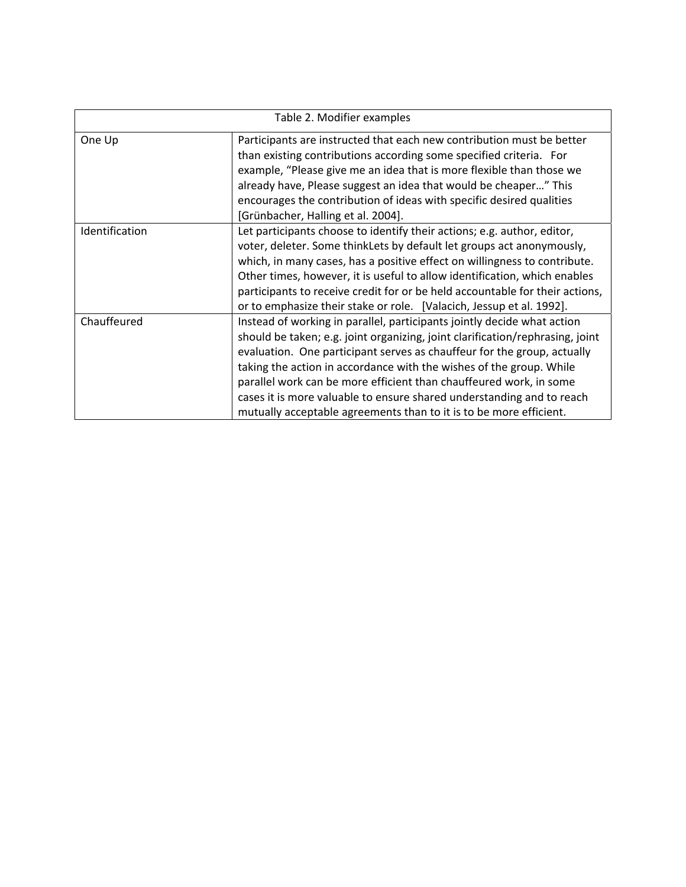| Table 2. Modifier examples |                                                                                                                                                                                                                                                                                                                                                                                                                                                                                                                                 |  |  |  |
|----------------------------|---------------------------------------------------------------------------------------------------------------------------------------------------------------------------------------------------------------------------------------------------------------------------------------------------------------------------------------------------------------------------------------------------------------------------------------------------------------------------------------------------------------------------------|--|--|--|
| One Up                     | Participants are instructed that each new contribution must be better<br>than existing contributions according some specified criteria. For<br>example, "Please give me an idea that is more flexible than those we<br>already have, Please suggest an idea that would be cheaper" This<br>encourages the contribution of ideas with specific desired qualities<br>[Grünbacher, Halling et al. 2004].                                                                                                                           |  |  |  |
| Identification             | Let participants choose to identify their actions; e.g. author, editor,<br>voter, deleter. Some thinkLets by default let groups act anonymously,<br>which, in many cases, has a positive effect on willingness to contribute.<br>Other times, however, it is useful to allow identification, which enables<br>participants to receive credit for or be held accountable for their actions,<br>or to emphasize their stake or role. [Valacich, Jessup et al. 1992].                                                              |  |  |  |
| Chauffeured                | Instead of working in parallel, participants jointly decide what action<br>should be taken; e.g. joint organizing, joint clarification/rephrasing, joint<br>evaluation. One participant serves as chauffeur for the group, actually<br>taking the action in accordance with the wishes of the group. While<br>parallel work can be more efficient than chauffeured work, in some<br>cases it is more valuable to ensure shared understanding and to reach<br>mutually acceptable agreements than to it is to be more efficient. |  |  |  |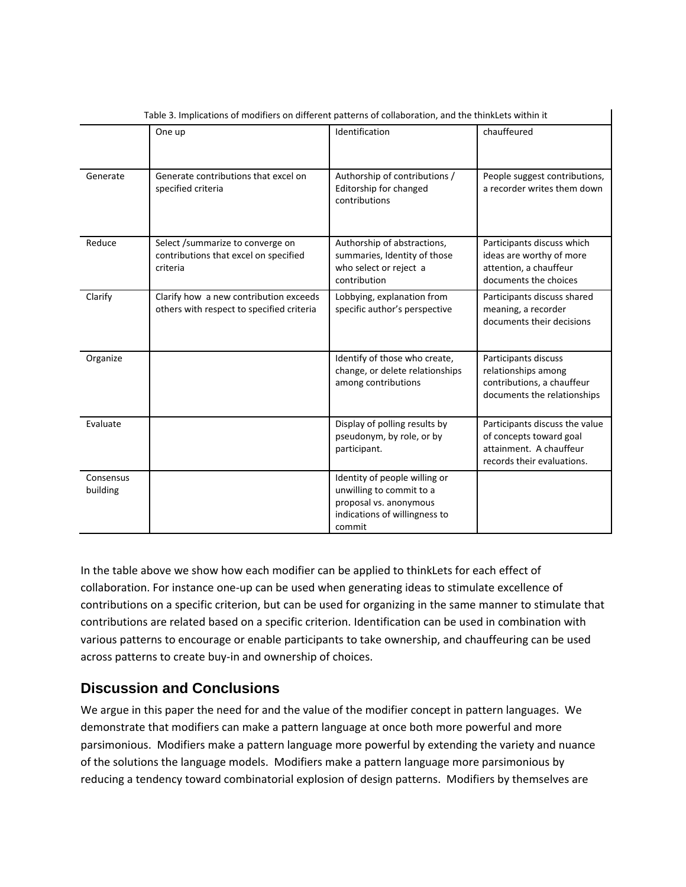|                       | One up                                                                                | Identification                                                                                                                 | chauffeured                                                                                                        |  |  |
|-----------------------|---------------------------------------------------------------------------------------|--------------------------------------------------------------------------------------------------------------------------------|--------------------------------------------------------------------------------------------------------------------|--|--|
| Generate              | Generate contributions that excel on<br>specified criteria                            | Authorship of contributions /<br>Editorship for changed<br>contributions                                                       | People suggest contributions,<br>a recorder writes them down                                                       |  |  |
| Reduce                | Select /summarize to converge on<br>contributions that excel on specified<br>criteria | Authorship of abstractions,<br>summaries, Identity of those<br>who select or reject a<br>contribution                          | Participants discuss which<br>ideas are worthy of more<br>attention, a chauffeur<br>documents the choices          |  |  |
| Clarify               | Clarify how a new contribution exceeds<br>others with respect to specified criteria   | Lobbying, explanation from<br>specific author's perspective                                                                    | Participants discuss shared<br>meaning, a recorder<br>documents their decisions                                    |  |  |
| Organize              |                                                                                       | Identify of those who create,<br>change, or delete relationships<br>among contributions                                        | Participants discuss<br>relationships among<br>contributions, a chauffeur<br>documents the relationships           |  |  |
| Evaluate              |                                                                                       | Display of polling results by<br>pseudonym, by role, or by<br>participant.                                                     | Participants discuss the value<br>of concepts toward goal<br>attainment. A chauffeur<br>records their evaluations. |  |  |
| Consensus<br>building |                                                                                       | Identity of people willing or<br>unwilling to commit to a<br>proposal vs. anonymous<br>indications of willingness to<br>commit |                                                                                                                    |  |  |

Table 3. Implications of modifiers on different patterns of collaboration, and the thinkLets within it

In the table above we show how each modifier can be applied to thinkLets for each effect of collaboration. For instance one‐up can be used when generating ideas to stimulate excellence of contributions on a specific criterion, but can be used for organizing in the same manner to stimulate that contributions are related based on a specific criterion. Identification can be used in combination with various patterns to encourage or enable participants to take ownership, and chauffeuring can be used across patterns to create buy‐in and ownership of choices.

# **Discussion and Conclusions**

We argue in this paper the need for and the value of the modifier concept in pattern languages. We demonstrate that modifiers can make a pattern language at once both more powerful and more parsimonious. Modifiers make a pattern language more powerful by extending the variety and nuance of the solutions the language models. Modifiers make a pattern language more parsimonious by reducing a tendency toward combinatorial explosion of design patterns. Modifiers by themselves are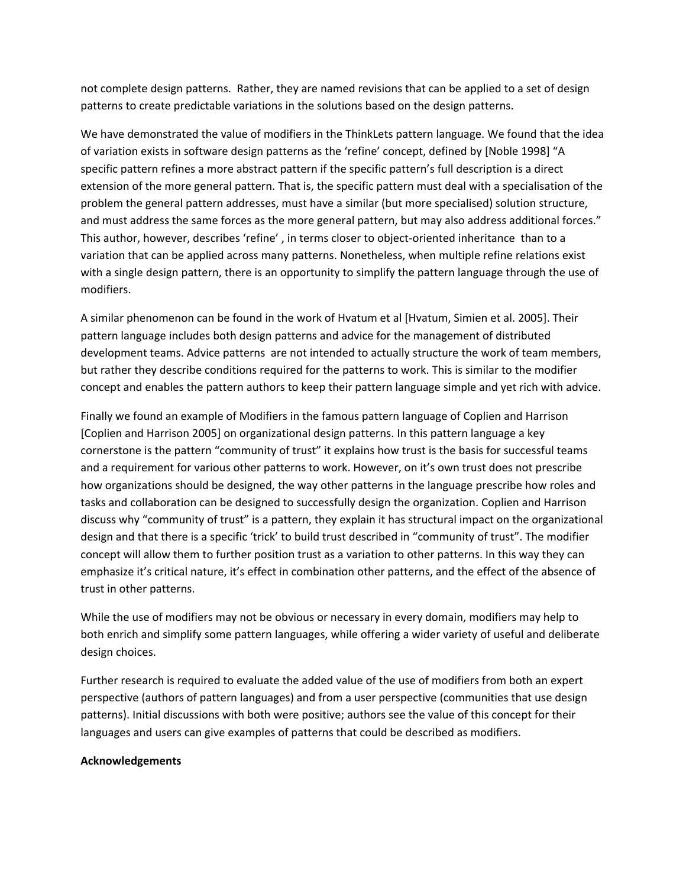not complete design patterns. Rather, they are named revisions that can be applied to a set of design patterns to create predictable variations in the solutions based on the design patterns.

We have demonstrated the value of modifiers in the ThinkLets pattern language. We found that the idea of variation exists in software design patterns as the 'refine' concept, defined by [Noble 1998] "A specific pattern refines a more abstract pattern if the specific pattern's full description is a direct extension of the more general pattern. That is, the specific pattern must deal with a specialisation of the problem the general pattern addresses, must have a similar (but more specialised) solution structure, and must address the same forces as the more general pattern, but may also address additional forces." This author, however, describes 'refine', in terms closer to object-oriented inheritance than to a variation that can be applied across many patterns. Nonetheless, when multiple refine relations exist with a single design pattern, there is an opportunity to simplify the pattern language through the use of modifiers.

A similar phenomenon can be found in the work of Hvatum et al [Hvatum, Simien et al. 2005]. Their pattern language includes both design patterns and advice for the management of distributed development teams. Advice patterns are not intended to actually structure the work of team members, but rather they describe conditions required for the patterns to work. This is similar to the modifier concept and enables the pattern authors to keep their pattern language simple and yet rich with advice.

Finally we found an example of Modifiers in the famous pattern language of Coplien and Harrison [Coplien and Harrison 2005] on organizational design patterns. In this pattern language a key cornerstone is the pattern "community of trust" it explains how trust is the basis for successful teams and a requirement for various other patterns to work. However, on it's own trust does not prescribe how organizations should be designed, the way other patterns in the language prescribe how roles and tasks and collaboration can be designed to successfully design the organization. Coplien and Harrison discuss why "community of trust" is a pattern, they explain it has structural impact on the organizational design and that there is a specific 'trick' to build trust described in "community of trust". The modifier concept will allow them to further position trust as a variation to other patterns. In this way they can emphasize it's critical nature, it's effect in combination other patterns, and the effect of the absence of trust in other patterns.

While the use of modifiers may not be obvious or necessary in every domain, modifiers may help to both enrich and simplify some pattern languages, while offering a wider variety of useful and deliberate design choices.

Further research is required to evaluate the added value of the use of modifiers from both an expert perspective (authors of pattern languages) and from a user perspective (communities that use design patterns). Initial discussions with both were positive; authors see the value of this concept for their languages and users can give examples of patterns that could be described as modifiers.

#### **Acknowledgements**